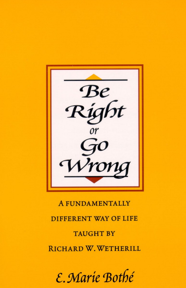

# **A FUNDAMENTALLY DIFFERENT WAY OF LIFE TAUGHT BY** RICHARD W. WETHERILL

E. Marie Bothé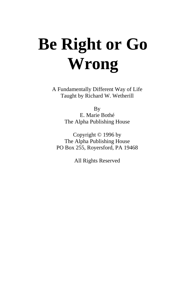# **Be Right or Go Wrong**

A Fundamentally Different Way of Life Taught by Richard W. Wetherill

> By E. Marie Bothé The Alpha Publishing House

Copyright © 1996 by The Alpha Publishing House PO Box 255, Royersford, PA 19468

All Rights Reserved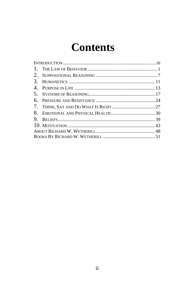## **Contents**

| $\mathbf{1}$ . |  |  |
|----------------|--|--|
| 2.             |  |  |
| 3.             |  |  |
| 4.             |  |  |
| 5.             |  |  |
| 6.             |  |  |
|                |  |  |
| 8.             |  |  |
|                |  |  |
|                |  |  |
|                |  |  |
|                |  |  |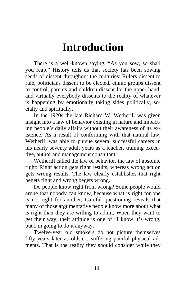## **Introduction**

<span id="page-3-0"></span>There is a well-known saying, "As you sow, so shall you reap." History tells us that society has been sowing seeds of dissent throughout the centuries: Rulers dissent to rule, politicians dissent to be elected, ethnic groups dissent to control, parents and children dissent for the upper hand, and virtually everybody dissents to the reality of whatever is happening by emotionally taking sides politically, socially and spiritually.

In the 1920s the late Richard W. Wetherill was given insight into a law of behavior existing in nature and impacting people's daily affairs without their awareness of its existence. As a result of conforming with that natural law, Wetherill was able to pursue several successful careers in his nearly seventy adult years as a teacher, training executive, author and management consultant.

Wetherill called the law of behavior, the law of absolute right: Right action gets right results, whereas wrong action gets wrong results. The law clearly establishes that right begets right and wrong begets wrong.

Do people know right from wrong? Some people would argue that nobody can know, because what is right for one is not right for another. Careful questioning reveals that many of those argumentative people know more about what is right than they are willing to admit. When they want to get their way, their attitude is one of "I know it's wrong, but I'm going to do it anyway."

Twelve-year old smokers do not picture themselves fifty years later as oldsters suffering painful physical ailments. That is the reality they should consider while they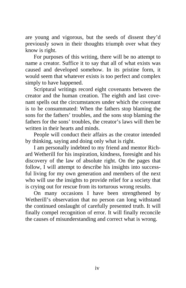are young and vigorous, but the seeds of dissent they'd previously sown in their thoughts triumph over what they know is right.

For purposes of this writing, there will be no attempt to name a creator. Suffice it to say that all of what exists was caused and developed somehow. In its pristine form, it would seem that whatever exists is too perfect and complex simply to have happened.

Scriptural writings record eight covenants between the creator and the human creation. The eighth and last covenant spells out the circumstances under which the covenant is to be consummated: When the fathers stop blaming the sons for the fathers' troubles, and the sons stop blaming the fathers for the sons' troubles, the creator's laws will then be written in their hearts and minds.

People will conduct their affairs as the creator intended by thinking, saying and doing only what is right.

I am personally indebted to my friend and mentor Richard Wetherill for his inspiration, kindness, foresight and his discovery of the law of absolute right. On the pages that follow, I will attempt to describe his insights into successful living for my own generation and members of the next who will use the insights to provide relief for a society that is crying out for rescue from its torturous wrong results.

On many occasions I have been strengthened by Wetherill's observation that no person can long withstand the continued onslaught of carefully presented truth. It will finally compel recognition of error. It will finally reconcile the causes of misunderstanding and correct what is wrong.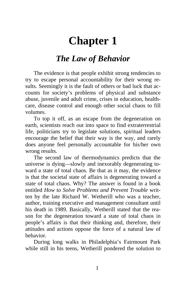### **Chapter 1**

### *The Law of Behavior*

<span id="page-5-0"></span>The evidence is that people exhibit strong tendencies to try to escape personal accountability for their wrong results. Seemingly it is the fault of others or bad luck that accounts for society's problems of physical and substance abuse, juvenile and adult crime, crises in education, healthcare, disease control and enough other social chaos to fill volumes.

To top it off, as an escape from the degeneration on earth, scientists reach out into space to find extraterrestrial life, politicians try to legislate solutions, spiritual leaders encourage the belief that their way is the way, and rarely does anyone feel personally accountable for his/her own wrong results.

The second law of thermodynamics predicts that the universe is dying—slowly and inexorably degenerating toward a state of total chaos. Be that as it may, the evidence is that the societal state of affairs is degenerating toward a state of total chaos. Why? The answer is found in a book entitled *How to Solve Problems and Prevent Trouble* written by the late Richard W. Wetherill who was a teacher, author, training executive and management consultant until his death in 1989. Basically, Wetherill stated that the reason for the degeneration toward a state of total chaos in people's affairs is that their thinking and, therefore, their attitudes and actions oppose the force of a natural law of behavior.

During long walks in Philadelphia's Fairmount Park while still in his teens, Wetherill pondered the solution to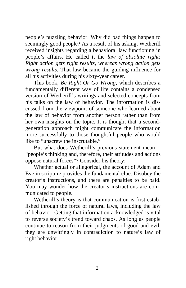people's puzzling behavior. Why did bad things happen to seemingly good people? As a result of his asking, Wetherill received insights regarding a behavioral law functioning in people's affairs. He called it the *law of absolute right: Right action gets right results, whereas wrong action gets wrong results*. That law became the guiding influence for all his activities during his sixty-year career.

This book, *Be Right Or Go Wrong*, which describes a fundamentally different way of life contains a condensed version of Wetherill's writings and selected concepts from his talks on the law of behavior. The information is discussed from the viewpoint of someone who learned about the law of behavior from another person rather than from her own insights on the topic. It is thought that a secondgeneration approach might communicate the information more successfully to those thoughtful people who would like to "unscrew the inscrutable."

But what does Wetherill's previous statement mean— "people's thinking and, therefore, their attitudes and actions oppose natural forces"? Consider his theory:

Whether actual or allegorical, the account of Adam and Eve in scripture provides the fundamental clue. Disobey the creator's instructions, and there are penalties to be paid. You may wonder how the creator's instructions are communicated to people.

Wetherill's theory is that communication is first established through the force of natural laws, including the law of behavior. Getting that information acknowledged is vital to reverse society's trend toward chaos. As long as people continue to reason from their judgments of good and evil, they are unwittingly in contradiction to nature's law of right behavior.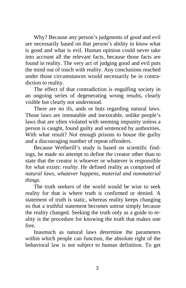Why? Because any person's judgments of good and evil are necessarily based on that person's ability to *know* what is good and what is evil. Human opinion could never take into account all the relevant facts, because those facts are found in reality. The very act of judging good and evil puts the mind out of touch with reality. Any conclusions reached under those circumstances would necessarily be in contradiction to reality.

The effect of that contradiction is engulfing society in an ongoing series of degenerating wrong results, clearly visible but clearly not understood.

There are no ifs, ands or buts regarding natural laws. Those laws are immutable and inexorable, unlike people's laws that are often violated with seeming impunity unless a person is caught, found guilty and sentenced by authorities. With what result? Not enough prisons to house the guilty and a discouraging number of repeat offenders.

Because Wetherill's study is based on scientific findings, he made no attempt to define the creator other than to state that the creator is whoever or whatever is responsible for what exists: *reality*. He defined reality as comprised of *natural laws, whatever happens, material and nonmaterial things*.

The truth seekers of the world would be wise to seek reality for that is where truth is confirmed or denied. A statement of truth is static, whereas reality keeps changing so that a truthful statement becomes untrue simply because the reality changed. Seeking the truth only as a guide to reality is the procedure for knowing the truth that makes one free.

Inasmuch as natural laws determine the parameters within which people can function, the absolute right of the behavioral law is not subject to human definition. To get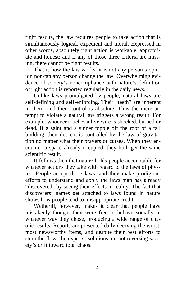right results, the law requires people to take action that is simultaneously logical, expedient and moral. Expressed in other words, absolutely right action is workable, appropriate and honest; and if any of those three criteria are missing, there cannot be right results.

That is how the law works; it is not any person's opinion nor can any person change the law. Overwhelming evidence of society's noncompliance with nature's definition of right action is reported regularly in the daily news.

Unlike laws promulgated by people, natural laws are self-defining and self-enforcing. Their "teeth" are inherent in them, and their control is absolute. Thus the mere attempt to violate a natural law triggers a wrong result. For example, whoever touches a live wire is shocked, burned or dead. If a saint and a sinner topple off the roof of a tall building, their descent is controlled by the law of gravitation no matter what their prayers or curses. When they encounter a space already occupied, they both get the same scientific result.

It follows then that nature holds people accountable for whatever actions they take with regard to the laws of physics. People accept those laws, and they make prodigious efforts to understand and apply the laws man has already "discovered" by seeing their effects in reality. The fact that discoverers' names get attached to laws found in nature shows how people tend to misappropriate credit.

Wetherill, however, makes it clear that people have mistakenly thought they were free to behave socially in whatever way they chose, producing a wide range of chaotic results. Reports are presented daily decrying the worst, most newsworthy items, and despite their best efforts to stem the flow, the experts' solutions are not reversing society's drift toward total chaos.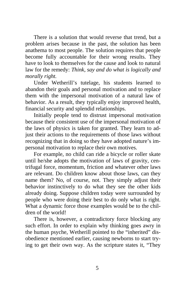There is a solution that would reverse that trend, but a problem arises because in the past, the solution has been anathema to most people. The solution requires that people become fully accountable for their wrong results. They have to look to themselves for the cause and look to natural law for the remedy: *Think, say and do what is logically and morally right.*

Under Wetherill's tutelage, his students learned to abandon their goals and personal motivation and to replace them with the impersonal motivation of a natural law of behavior. As a result, they typically enjoy improved health, financial security and splendid relationships.

Initially people tend to distrust impersonal motivation because their consistent use of the impersonal motivation of the laws of physics is taken for granted. They learn to adjust their actions to the requirements of those laws without recognizing that in doing so they have adopted nature's impersonal motivation to replace their own motives.

For example, no child can ride a bicycle or roller skate until he/she adopts the motivation of laws of gravity, centrifugal force, momentum, friction and whatever other laws are relevant. Do children know about those laws, can they name them? No, of course, not. They simply adjust their behavior instinctively to do what they see the other kids already doing. Suppose children today were surrounded by people who were doing their best to do only what is right. What a dynamic force those examples would be to the children of the world!

There is, however, a contradictory force blocking any such effort. In order to explain why thinking goes awry in the human psyche, Wetherill pointed to the "inherited" disobedience mentioned earlier, causing newborns to start trying to get their own way. As the scripture states it, "They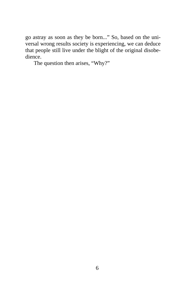go astray as soon as they be born..." So, based on the universal wrong results society is experiencing, we can deduce that people still live under the blight of the original disobedience.

The question then arises, "Why?"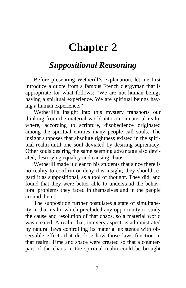### **Chapter 2**

### <span id="page-11-0"></span>*Suppositional Reasoning*

Before presenting Wetherill's explanation, let me first introduce a quote from a famous French clergyman that is appropriate for what follows: "We are not human beings having a spiritual experience. We are spiritual beings having a human experience."

Wetherill's insight into this mystery transports our thinking from the material world into a nonmaterial realm where, according to scripture, disobedience originated among the spiritual entities many people call souls. The insight supposes that absolute rightness existed in the spiritual realm until one soul deviated by desiring supremacy. Other souls desiring the same seeming advantage also deviated, destroying equality and causing chaos.

Wetherill made it clear to his students that since there is no reality to confirm or deny this insight, they should regard it as suppositional, as a tool of thought. They did, and found that they were better able to understand the behavioral problems they faced in themselves and in the people around them.

The supposition further postulates a state of simultaneity in that realm which precluded any opportunity to study the cause and resolution of that chaos, so a material world was created. A realm that, in every aspect, is administrated by natural laws controlling its material existence with observable effects that disclose how those laws function in that realm. Time and space were created so that a counterpart of the chaos in the spiritual realm could be brought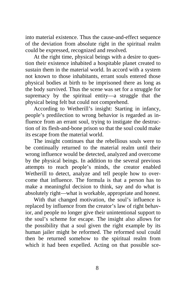into material existence. Thus the cause-and-effect sequence of the deviation from absolute right in the spiritual realm could be expressed, recognized and resolved.

At the right time, physical beings with a desire to question their existence inhabited a hospitable planet created to sustain them in the material world. In accord with a system not known to those inhabitants, errant souls entered those physical bodies at birth to be imprisoned there as long as the body survived. Thus the scene was set for a struggle for supremacy by the spiritual entity—a struggle that the physical being felt but could not comprehend.

According to Wetherill's insight: Starting in infancy, people's predilection to wrong behavior is regarded as influence from an errant soul, trying to instigate the destruction of its flesh-and-bone prison so that the soul could make its escape from the material world.

The insight continues that the rebellious souls were to be continually returned to the material realm until their wrong influence would be detected, analyzed and overcome by the physical beings. In addition to the several previous attempts to reach people's minds, the creator enabled Wetherill to detect, analyze and tell people how to overcome that influence. The formula is that a person has to make a meaningful decision to think, say and do what is absolutely right—what is workable, appropriate and honest.

With that changed motivation, the soul's influence is replaced by influence from the creator's law of right behavior, and people no longer give their unintentional support to the soul's scheme for escape. The insight also allows for the possibility that a soul given the right example by its human jailer might be reformed. The reformed soul could then be returned somehow to the spiritual realm from which it had been expelled. Acting on that possible sce-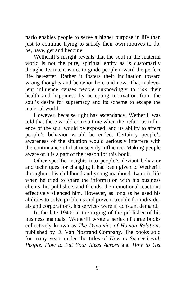nario enables people to serve a higher purpose in life than just to continue trying to satisfy their own motives to do, be, have, get and become.

Wetherill's insight reveals that the soul in the material world is not the pure, spiritual entity as is customarily thought. Its intent is not to guide people toward the perfect life hereafter. Rather it fosters their inclination toward wrong thoughts and behavior here and now. That malevolent influence causes people unknowingly to risk their health and happiness by accepting motivation from the soul's desire for supremacy and its scheme to escape the material world.

However, because right has ascendancy, Wetherill was told that there would come a time when the nefarious influence of the soul would be exposed, and its ability to affect people's behavior would be ended. Certainly people's awareness of the situation would seriously interfere with the continuance of that unseemly influence. Making people aware of it is a part of the reason for this book.

Other specific insights into people's deviant behavior and techniques for changing it had been given to Wetherill throughout his childhood and young manhood. Later in life when he tried to share the information with his business clients, his publishers and friends, their emotional reactions effectively silenced him. However, as long as he used his abilities to solve problems and prevent trouble for individuals and corporations, his services were in constant demand.

In the late 1940s at the urging of the publisher of his business manuals, Wetherill wrote a series of three books collectively known as *The Dynamics of Human Relations* published by D. Van Nostrand Company. The books sold for many years under the titles of *How to Succeed with People, How to Put Your Ideas Across* and *How to Get*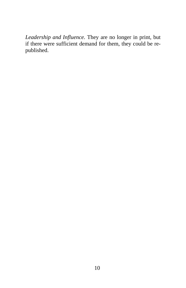*Leadership and Influence.* They are no longer in print, but if there were sufficient demand for them, they could be republished.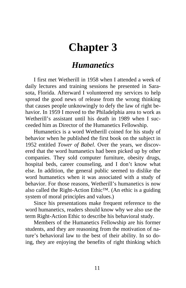### <span id="page-15-0"></span>**Chapter 3**

#### *Humanetics*

I first met Wetherill in 1958 when I attended a week of daily lectures and training sessions he presented in Sarasota, Florida. Afterward I volunteered my services to help spread the good news of release from the wrong thinking that causes people unknowingly to defy the law of right behavior. In 1959 I moved to the Philadelphia area to work as Wetherill's assistant until his death in 1989 when I succeeded him as Director of the Humanetics Fellowship.

Humanetics is a word Wetherill coined for his study of behavior when he published the first book on the subject in 1952 entitled *Tower of Babel*. Over the years, we discovered that the word humanetics had been picked up by other companies. They sold computer furniture, obesity drugs, hospital beds, career counseling, and I don't know what else. In addition, the general public seemed to dislike the word humanetics when it was associated with a study of behavior. For those reasons, Wetherill's humanetics is now also called the Right-Action Ethic™. (An ethic is a guiding system of moral principles and values.)

Since his presentations make frequent reference to the word humanetics, readers should know why we also use the term Right-Action Ethic to describe his behavioral study.

Members of the Humanetics Fellowship are his former students, and they are reasoning from the motivation of nature's behavioral law to the best of their ability. In so doing, they are enjoying the benefits of right thinking which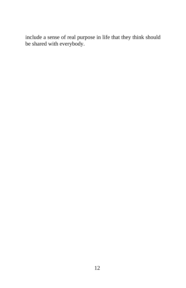include a sense of real purpose in life that they think should be shared with everybody.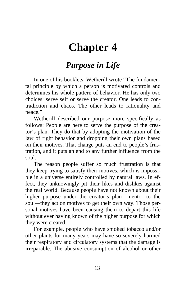### <span id="page-17-0"></span>**Chapter 4**

#### *Purpose in Life*

In one of his booklets, Wetherill wrote "The fundamental principle by which a person is motivated controls and determines his whole pattern of behavior. He has only two choices: serve self or serve the creator. One leads to contradiction and chaos. The other leads to rationality and peace."

Wetherill described our purpose more specifically as follows: People are here to serve the purpose of the creator's plan. They do that by adopting the motivation of the law of right behavior and dropping their own plans based on their motives. That change puts an end to people's frustration, and it puts an end to any further influence from the soul.

The reason people suffer so much frustration is that they keep trying to satisfy their motives, which is impossible in a universe entirely controlled by natural laws. In effect, they unknowingly pit their likes and dislikes against the real world. Because people have not known about their higher purpose under the creator's plan—mentor to the soul—they act on motives to get their own way. Those personal motives have been causing them to depart this life without ever having known of the higher purpose for which they were created.

For example, people who have smoked tobacco and/or other plants for many years may have so severely harmed their respiratory and circulatory systems that the damage is irreparable. The abusive consumption of alcohol or other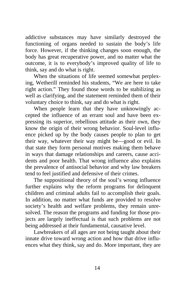addictive substances may have similarly destroyed the functioning of organs needed to sustain the body's life force. However, if the thinking changes soon enough, the body has great recuperative power, and no matter what the outcome, it is to everybody's improved quality of life to think, say and do what is right.

When the situations of life seemed somewhat perplexing, Wetherill reminded his students, "We are here to take right action." They found those words to be stabilizing as well as clarifying, and the statement reminded them of their voluntary choice to think, say and do what is right.

When people learn that they have unknowingly accepted the influence of an errant soul and have been expressing its superior, rebellious attitude as their own, they know the origin of their wrong behavior. Soul-level influence picked up by the body causes people to plan to get their way, whatever their way might be—good or evil. In that state they form personal motives making them behave in ways that damage relationships and careers, cause accidents and poor health. That wrong influence also explains the prevalence of antisocial behavior and why law breakers tend to feel justified and defensive of their crimes.

The suppositional theory of the soul's wrong influence further explains why the reform programs for delinquent children and criminal adults fail to accomplish their goals. In addition, no matter what funds are provided to resolve society's health and welfare problems, they remain unresolved. The reason the programs and funding for those projects are largely ineffectual is that such problems are not being addressed at their fundamental, causative level.

Lawbreakers of all ages are not being taught about their innate drive toward wrong action and how that drive influences what they think, say and do. More important, they are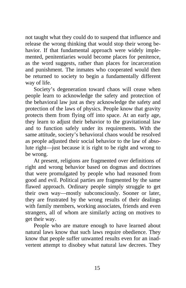not taught what they could do to suspend that influence and release the wrong thinking that would stop their wrong behavior. If that fundamental approach were widely implemented, penitentiaries would become places for penitence, as the word suggests, rather than places for incarceration and punishment. The inmates who cooperated would then be returned to society to begin a fundamentally different way of life.

Society's degeneration toward chaos will cease when people learn to acknowledge the safety and protection of the behavioral law just as they acknowledge the safety and protection of the laws of physics. People know that gravity protects them from flying off into space. At an early age, they learn to adjust their behavior to the gravitational law and to function safely under its requirements. With the same attitude, society's behavioral chaos would be resolved as people adjusted their social behavior to the law of absolute right—just because it is right to be right and wrong to be wrong.

At present, religions are fragmented over definitions of right and wrong behavior based on dogmas and doctrines that were promulgated by people who had reasoned from good and evil. Political parties are fragmented by the same flawed approach. Ordinary people simply struggle to get their own way—mostly subconsciously. Sooner or later, they are frustrated by the wrong results of their dealings with family members, working associates, friends and even strangers, all of whom are similarly acting on motives to get their way.

People who are mature enough to have learned about natural laws know that such laws require obedience. They know that people suffer unwanted results even for an inadvertent attempt to disobey what natural law decrees. They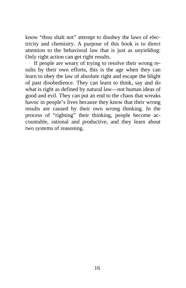know "thou shalt not" attempt to disobey the laws of electricity and chemistry. A purpose of this book is to direct attention to the behavioral law that is just as unyielding: Only right action can get right results.

If people are weary of trying to resolve their wrong results by their own efforts, this is the age when they can learn to obey the law of absolute right and escape the blight of past disobedience. They can learn to think, say and do what is right as defined by natural law—not human ideas of good and evil. They can put an end to the chaos that wreaks havoc in people's lives because they know that their wrong results are caused by their own wrong thinking. In the process of "righting" their thinking, people become accountable, rational and productive, and they learn about two systems of reasoning.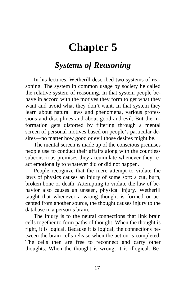### <span id="page-21-0"></span>**Chapter 5**

### *Systems of Reasoning*

In his lectures, Wetherill described two systems of reasoning. The system in common usage by society he called the relative system of reasoning. In that system people behave in accord with the motives they form to get what they want and avoid what they don't want. In that system they learn about natural laws and phenomena, various professions and disciplines and about good and evil. But the information gets distorted by filtering through a mental screen of personal motives based on people's particular desires—no matter how good or evil those desires might be.

The mental screen is made up of the conscious premises people use to conduct their affairs along with the countless subconscious premises they accumulate whenever they react emotionally to whatever did or did not happen.

People recognize that the mere attempt to violate the laws of physics causes an injury of some sort: a cut, burn, broken bone or death. Attempting to violate the law of behavior also causes an unseen, physical injury. Wetherill taught that whenever a wrong thought is formed or accepted from another source, the thought causes injury to the database in a person's brain.

The injury is to the neural connections that link brain cells together to form paths of thought. When the thought is right, it is logical. Because it is logical, the connections between the brain cells release when the action is completed. The cells then are free to reconnect and carry other thoughts. When the thought is wrong, it is illogical. Be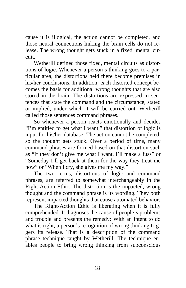cause it is illogical, the action cannot be completed, and those neural connections linking the brain cells do not release. The wrong thought gets stuck in a fixed, mental circuit.

Wetherill defined those fixed, mental circuits as distortions of logic. Whenever a person's thinking goes to a particular area, the distortions held there become premises in his/her conclusions. In addition, each distorted concept becomes the basis for additional wrong thoughts that are also stored in the brain. The distortions are expressed in sentences that state the command and the circumstance, stated or implied, under which it will be carried out. Wetherill called those sentences command phrases.

So whenever a person reacts emotionally and decides "I'm entitled to get what I want," that distortion of logic is input for his/her database. The action cannot be completed, so the thought gets stuck. Over a period of time, many command phrases are formed based on that distortion such as "If they don't give me what I want, I'll make a fuss" or "Someday I'll get back at them for the way they treat me now" or "When I cry, she gives me my way."

The two terms, distortions of logic and command phrases, are referred to somewhat interchangeably in the Right-Action Ethic. The distortion is the impacted, wrong thought and the command phrase is its wording. They both represent impacted thoughts that cause automated behavior.

The Right-Action Ethic is liberating when it is fully comprehended. It diagnoses the cause of people's problems and trouble and presents the remedy: With an intent to do what is right, a person's recognition of wrong thinking triggers its release. That is a description of the command phrase technique taught by Wetherill. The technique enables people to bring wrong thinking from subconscious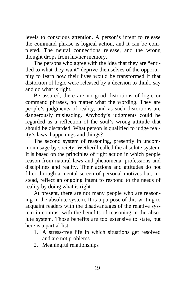levels to conscious attention. A person's intent to release the command phrase is logical action, and it can be completed. The neural connections release, and the wrong thought drops from his/her memory.

The persons who agree with the idea that they are "entitled to what they want" deprive themselves of the opportunity to learn how their lives would be transformed if that distortion of logic were released by a decision to think, say and do what is right.

Be assured, there are no good distortions of logic or command phrases, no matter what the wording. They are people's judgments of reality, and as such distortions are dangerously misleading. Anybody's judgments could be regarded as a reflection of the soul's wrong attitude that should be discarded. What person is qualified to judge reality's laws, happenings and things?

The second system of reasoning, presently in uncommon usage by society, Wetherill called the absolute system. It is based on the principles of right action in which people reason from natural laws and phenomena, professions and disciplines and reality. Their actions and attitudes do not filter through a mental screen of personal motives but, instead, reflect an ongoing intent to respond to the needs of reality by doing what is right.

At present, there are not many people who are reasoning in the absolute system. It is a purpose of this writing to acquaint readers with the disadvantages of the relative system in contrast with the benefits of reasoning in the absolute system. Those benefits are too extensive to state, but here is a partial list:

- 1. A stress-free life in which situations get resolved and are not problems
- 2. Meaningful relationships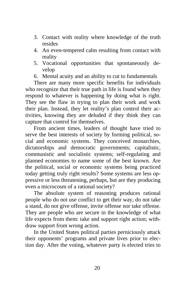- 3. Contact with reality where knowledge of the truth resides
- 4. An even-tempered calm resulting from contact with reality
- 5. Vocational opportunities that spontaneously develop
- 6. Mental acuity and an ability to cut to fundamentals

There are many more specific benefits for individuals who recognize that their true path in life is found when they respond to whatever is happening by doing what is right. They see the flaw in trying to plan their work and work their plan. Instead, they let reality's plan control their activities, knowing they are deluded if they think they can capture that control for themselves.

From ancient times, leaders of thought have tried to serve the best interests of society by forming political, social and economic systems. They conceived monarchies, dictatorships and democratic governments; capitalistic, communistic and socialistic systems; self-regulating and planned economies to name some of the best known. Are the political, social or economic systems being practiced today getting truly right results? Some systems are less oppressive or less threatening, perhaps, but are they producing even a microcosm of a rational society?

The absolute system of reasoning produces rational people who do not use conflict to get their way, do not take a stand, do not give offense, invite offense nor take offense. They are people who are secure in the knowledge of what life expects from them: take and support right action; withdraw support from wrong action.

In the United States political parties perniciously attack their opponents' programs and private lives prior to election day. After the voting, whatever party is elected tries to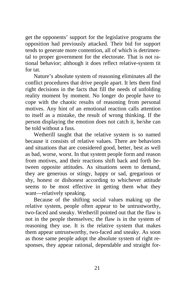get the opponents' support for the legislative programs the opposition had previously attacked. Their bid for support tends to generate more contention, all of which is detrimental to proper government for the electorate. That is not rational behavior; although it does reflect relative-system tit for tat.

Nature's absolute system of reasoning eliminates all the conflict procedures that drive people apart. It lets them find right decisions in the facts that fill the needs of unfolding reality moment by moment. No longer do people have to cope with the chaotic results of reasoning from personal motives. Any hint of an emotional reaction calls attention to itself as a mistake, the result of wrong thinking. If the person displaying the emotion does not catch it, he/she can be told without a fuss.

Wetherill taught that the relative system is so named because it consists of relative values. There are behaviors and situations that are considered good, better, best as well as bad, worse, worst. In that system people form and reason from motives, and their reactions shift back and forth between opposite attitudes. As situations seem to demand, they are generous or stingy, happy or sad, gregarious or shy, honest or dishonest according to whichever attitude seems to be most effective in getting them what they want—relatively speaking.

Because of the shifting social values making up the relative system, people often appear to be untrustworthy, two-faced and sneaky. Wetherill pointed out that the flaw is not in the people themselves; the flaw is in the system of reasoning they use. It is the relative system that makes them appear untrustworthy, two-faced and sneaky. As soon as those same people adopt the absolute system of right responses, they appear rational, dependable and straight for-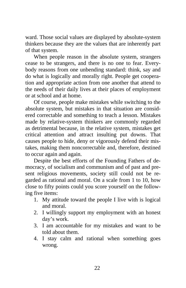ward. Those social values are displayed by absolute-system thinkers because they are the values that are inherently part of that system.

When people reason in the absolute system, strangers cease to be strangers, and there is no one to fear. Everybody reasons from one unbending standard: think, say and do what is logically and morally right. People get cooperation and appropriate action from one another that attend to the needs of their daily lives at their places of employment or at school and at home.

Of course, people make mistakes while switching to the absolute system, but mistakes in that situation are considered correctable and something to teach a lesson. Mistakes made by relative-system thinkers are commonly regarded as detrimental because, in the relative system, mistakes get critical attention and attract insulting put downs. That causes people to hide, deny or vigorously defend their mistakes, making them noncorrectable and, therefore, destined to occur again and again.

Despite the best efforts of the Founding Fathers of democracy, of socialism and communism and of past and present religious movements, society still could not be regarded as rational and moral. On a scale from 1 to 10, how close to fifty points could you score yourself on the following five items:

- 1. My attitude toward the people I live with is logical and moral.
- 2. I willingly support my employment with an honest day's work.
- 3. I am accountable for my mistakes and want to be told about them.
- 4. I stay calm and rational when something goes wrong.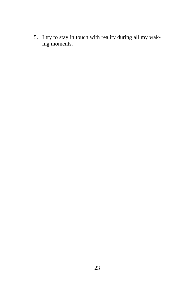5. I try to stay in touch with reality during all my waking moments.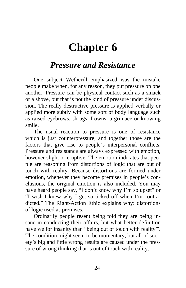### **Chapter 6**

#### <span id="page-28-0"></span>*Pressure and Resistance*

One subject Wetherill emphasized was the mistake people make when, for any reason, they put pressure on one another. Pressure can be physical contact such as a smack or a shove, but that is not the kind of pressure under discussion. The really destructive pressure is applied verbally or applied more subtly with some sort of body language such as raised eyebrows, shrugs, frowns, a grimace or knowing smile.

The usual reaction to pressure is one of resistance which is just counterpressure, and together those are the factors that give rise to people's interpersonal conflicts. Pressure and resistance are always expressed with emotion, however slight or eruptive. The emotion indicates that people are reasoning from distortions of logic that are out of touch with reality. Because distortions are formed under emotion, whenever they become premises in people's conclusions, the original emotion is also included. You may have heard people say, "I don't know why I'm so upset" or "I wish I knew why I get so ticked off when I'm contradicted." The Right-Action Ethic explains why: distortions of logic used as premises.

Ordinarily people resent being told they are being insane in conducting their affairs, but what better definition have we for insanity than "being out of touch with reality"? The condition might seem to be momentary, but all of society's big and little wrong results are caused under the pressure of wrong thinking that is out of touch with reality.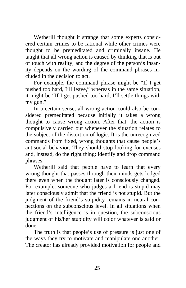Wetherill thought it strange that some experts considered certain crimes to be rational while other crimes were thought to be premeditated and criminally insane. He taught that all wrong action is caused by thinking that is out of touch with reality, and the degree of the person's insanity depends on the wording of the command phrases included in the decision to act.

For example, the command phrase might be "If I get pushed too hard, I'll leave," whereas in the same situation, it might be "If I get pushed too hard, I'll settle things with my gun."

In a certain sense, all wrong action could also be considered premeditated because initially it takes a wrong thought to cause wrong action. After that, the action is compulsively carried out whenever the situation relates to the subject of the distortion of logic. It is the unrecognized commands from fixed, wrong thoughts that cause people's antisocial behavior. They should stop looking for excuses and, instead, do the right thing: identify and drop command phrases.

Wetherill said that people have to learn that every wrong thought that passes through their minds gets lodged there even when the thought later is consciously changed. For example, someone who judges a friend is stupid may later consciously admit that the friend is not stupid. But the judgment of the friend's stupidity remains in neural connections on the subconscious level. In all situations when the friend's intelligence is in question, the subconscious judgment of his/her stupidity will color whatever is said or done.

The truth is that people's use of pressure is just one of the ways they try to motivate and manipulate one another. The creator has already provided motivation for people and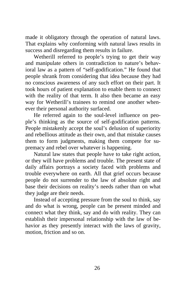made it obligatory through the operation of natural laws. That explains why conforming with natural laws results in success and disregarding them results in failure.

Wetherill referred to people's trying to get their way and manipulate others in contradiction to nature's behavioral law as a pattern of "self-godification." He found that people shrank from considering that idea because they had no conscious awareness of any such effort on their part. It took hours of patient explanation to enable them to connect with the reality of that term. It also then became an easy way for Wetherill's trainees to remind one another whenever their personal authority surfaced.

He referred again to the soul-level influence on people's thinking as the source of self-godification patterns. People mistakenly accept the soul's delusion of superiority and rebellious attitude as their own, and that mistake causes them to form judgments, making them compete for supremacy and rebel over whatever is happening.

Natural law states that people have to take right action, or they will have problems and trouble. The present state of daily affairs portrays a society faced with problems and trouble everywhere on earth. All that grief occurs because people do not surrender to the law of absolute right and base their decisions on reality's needs rather than on what they judge are their needs.

Instead of accepting pressure from the soul to think, say and do what is wrong, people can be present minded and connect what they think, say and do with reality. They can establish their impersonal relationship with the law of behavior as they presently interact with the laws of gravity, motion, friction and so on.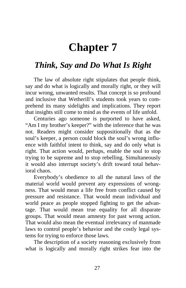### **Chapter 7**

#### <span id="page-31-0"></span>*Think, Say and Do What Is Right*

The law of absolute right stipulates that people think, say and do what is logically and morally right, or they will incur wrong, unwanted results. That concept is so profound and inclusive that Wetherill's students took years to comprehend its many sidelights and implications. They report that insights still come to mind as the events of life unfold.

Centuries ago someone is purported to have asked, "Am I my brother's keeper?" with the inference that he was not. Readers might consider suppositionally that as the soul's keeper, a person could block the soul's wrong influence with faithful intent to think, say and do only what is right. That action would, perhaps, enable the soul to stop trying to be supreme and to stop rebelling. Simultaneously it would also interrupt society's drift toward total behavioral chaos.

Everybody's obedience to all the natural laws of the material world would prevent any expressions of wrongness. That would mean a life free from conflict caused by pressure and resistance. That would mean individual and world peace as people stopped fighting to get the advantage. That would mean true equality for all disparate groups. That would mean amnesty for past wrong action. That would also mean the eventual irrelevancy of manmade laws to control people's behavior and the costly legal systems for trying to enforce those laws.

The description of a society reasoning exclusively from what is logically and morally right strikes fear into the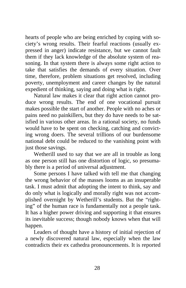hearts of people who are being enriched by coping with society's wrong results. Their fearful reactions (usually expressed in anger) indicate resistance, but we cannot fault them if they lack knowledge of the absolute system of reasoning. In that system there is always some right action to take that satisfies the demands of every situation. Over time, therefore, problem situations get resolved, including poverty, unemployment and career changes by the natural expedient of thinking, saying and doing what is right.

Natural law makes it clear that right action cannot produce wrong results. The end of one vocational pursuit makes possible the start of another. People with no aches or pains need no painkillers, but they do have needs to be satisfied in various other areas. In a rational society, no funds would have to be spent on checking, catching and convicting wrong doers. The several trillions of our burdensome national debt could be reduced to the vanishing point with just those savings.

Wetherill used to say that we are all in trouble as long as one person still has one distortion of logic, so presumably there is a period of universal adjustment.

Some persons I have talked with tell me that changing the wrong behavior of the masses looms as an insuperable task. I must admit that adopting the intent to think, say and do only what is logically and morally right was not accomplished overnight by Wetherill's students. But the "righting" of the human race is fundamentally not a people task. It has a higher power driving and supporting it that ensures its inevitable success; though nobody knows when that will happen.

Leaders of thought have a history of initial rejection of a newly discovered natural law, especially when the law contradicts their ex cathedra pronouncements. It is reported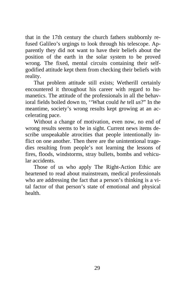that in the 17th century the church fathers stubbornly refused Galileo's urgings to look through his telescope. Apparently they did not want to have their beliefs about the position of the earth in the solar system to be proved wrong. The fixed, mental circuits containing their selfgodified attitude kept them from checking their beliefs with reality.

That problem attitude still exists; Wetherill certainly encountered it throughout his career with regard to humanetics. The attitude of the professionals in all the behavioral fields boiled down to, ''What could *he* tell *us*?" In the meantime, society's wrong results kept growing at an accelerating pace.

Without a change of motivation, even now, no end of wrong results seems to be in sight. Current news items describe unspeakable atrocities that people intentionally inflict on one another. Then there are the unintentional tragedies resulting from people's not learning the lessons of fires, floods, windstorms, stray bullets, bombs and vehicular accidents.

Those of us who apply The Right-Action Ethic are heartened to read about mainstream, medical professionals who are addressing the fact that a person's thinking is a vital factor of that person's state of emotional and physical health.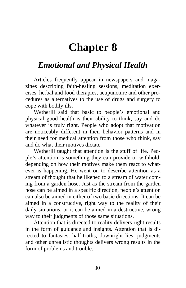### **Chapter 8**

#### <span id="page-34-0"></span>*Emotional and Physical Health*

Articles frequently appear in newspapers and magazines describing faith-healing sessions, meditation exercises, herbal and food therapies, acupuncture and other procedures as alternatives to the use of drugs and surgery to cope with bodily ills.

Wetherill said that basic to people's emotional and physical good health is their ability to think, say and do whatever is truly right. People who adopt that motivation are noticeably different in their behavior patterns and in their need for medical attention from those who think, say and do what their motives dictate.

Wetherill taught that attention is the stuff of life. People's attention is something they can provide or withhold, depending on how their motives make them react to whatever is happening. He went on to describe attention as a stream of thought that he likened to a stream of water coming from a garden hose. Just as the stream from the garden hose can be aimed in a specific direction, people's attention can also be aimed in either of two basic directions. It can be aimed in a constructive, right way to the reality of their daily situations, or it can be aimed in a destructive, wrong way to their judgments of those same situations.

Attention that is directed to reality delivers right results in the form of guidance and insights. Attention that is directed to fantasies, half-truths, downright lies, judgments and other unrealistic thoughts delivers wrong results in the form of problems and trouble.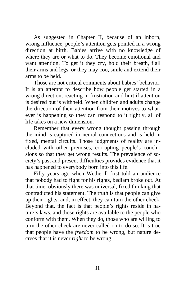As suggested in Chapter II, because of an inborn, wrong influence, people's attention gets pointed in a wrong direction at birth. Babies arrive with no knowledge of where they are or what to do. They become emotional and want attention. To get it they cry, hold their breath, flail their arms and legs, or they may coo, smile and extend their arms to be held.

Those are not critical comments about babies' behavior. It is an attempt to describe how people get started in a wrong direction, reacting in frustration and hurt if attention is desired but is withheld. When children and adults change the direction of their attention from their motives to whatever is happening so they can respond to it rightly, all of life takes on a new dimension.

Remember that every wrong thought passing through the mind is captured in neural connections and is held in fixed, mental circuits. Those judgments of reality are included with other premises, corrupting people's conclusions so that they get wrong results. The prevalence of society's past and present difficulties provides evidence that it has happened to everybody born into this life.

Fifty years ago when Wetherill first told an audience that nobody had to fight for his rights, bedlam broke out. At that time, obviously there was universal, fixed thinking that contradicted his statement. The truth is that people can give up their rights, and, in effect, they can turn the other cheek. Beyond that, the fact is that people's rights reside in nature's laws, and those rights are available to the people who conform with them. When they do, those who are willing to turn the other cheek are never called on to do so. It is true that people have the *freedom* to be wrong, but nature decrees that it is never *right* to be wrong.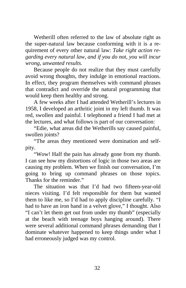Wetherill often referred to the law of absolute right as the super-natural law because conforming with it is a requirement of every other natural law: *Take right action regarding every natural law, and if you do not, you will incur wrong, unwanted results.*

Because people do not realize that they must carefully avoid wrong thoughts, they indulge in emotional reactions. In effect, they program themselves with command phrases that contradict and override the natural programming that would keep them healthy and strong.

A few weeks after I had attended Wetherill's lectures in 1958, I developed an arthritic joint in my left thumb. It was red, swollen and painful. I telephoned a friend I had met at the lectures, and what follows is part of our conversation:

"Edie, what areas did the Wetherills say caused painful, swollen joints?

"The areas they mentioned were domination and selfpity.

"Wow! Half the pain has already gone from my thumb. I can see how my distortions of logic in those two areas are causing my problem. When we finish our conversation, I'm going to bring up command phrases on those topics. Thanks for the reminder."

The situation was that I'd had two fifteen-year-old nieces visiting. I'd felt responsible for them but wanted them to like me, so I'd had to apply discipline carefully. "I had to have an iron hand in a velvet glove," I thought. Also "I can't let them get out from under my thumb" (especially at the beach with teenage boys hanging around). There were several additional command phrases demanding that I dominate whatever happened to keep things under what I had erroneously judged was my control.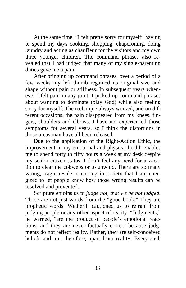At the same time, "I felt pretty sorry for myself" having to spend my days cooking, shopping, chaperoning, doing laundry and acting as chauffeur for the visitors and my own three younger children. The command phrases also revealed that I had judged that many of my single-parenting duties gave me a pain.

After bringing up command phrases, over a period of a few weeks my left thumb regained its original size and shape without pain or stiffness. In subsequent years whenever I felt pain in any joint, I picked up command phrases about wanting to dominate (play God) while also feeling sorry for myself. The technique always worked, and on different occasions, the pain disappeared from my knees, fingers, shoulders and elbows. I have not experienced those symptoms for several years, so I think the distortions in those areas may have all been released.

Due to the application of the Right-Action Ethic, the improvement in my emotional and physical health enables me to spend forty to fifty hours a week at my desk despite my senior-citizen status. I don't feel any need for a vacation to clear the cobwebs or to unwind. There are so many wrong, tragic results occurring in society that I am energized to let people know how those wrong results can be resolved and prevented.

Scripture enjoins us to *judge not, that we be not judged*. Those are not just words from the "good book." They are prophetic words. Wetherill cautioned us to refrain from judging people or any other aspect of reality. "Judgments," he warned, "are the product of people's emotional reactions, and they are never factually correct because judgments do not reflect reality. Rather, they are self-conceived beliefs and are, therefore, apart from reality. Every such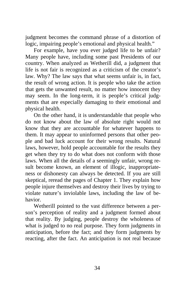judgment becomes the command phrase of a distortion of logic, impairing people's emotional and physical health."

For example, have you ever judged life to be unfair? Many people have, including some past Presidents of our country. When analyzed as Wetherill did, a judgment that life is not fair is recognized as a criticism of the creator's law. Why? The law says that what seems unfair is, in fact, the result of wrong action. It is people who take the action that gets the unwanted result, no matter how innocent they may seem. In the long-term, it is people's critical judgments that are especially damaging to their emotional and physical health.

On the other hand, it is understandable that people who do not know about the law of absolute right would not know that they are accountable for whatever happens to them. It may appear to uninformed persons that other people and bad luck account for their wrong results. Natural laws, however, hold people accountable for the results they get when they try to do what does not conform with those laws. When all the details of a seemingly unfair, wrong result become known, an element of illogic, inappropriateness or dishonesty can always be detected. If you are still skeptical, reread the pages of Chapter 1. They explain how people injure themselves and destroy their lives by trying to violate nature's inviolable laws, including the law of behavior.

Wetherill pointed to the vast difference between a person's perception of reality and a judgment formed about that reality. By judging, people destroy the wholeness of what is judged to no real purpose. They form judgments in anticipation, before the fact; and they form judgments by reacting, after the fact. An anticipation is not real because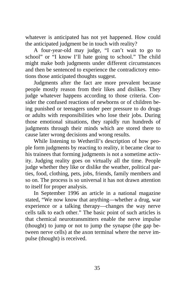whatever is anticipated has not yet happened. How could the anticipated judgment be in touch with reality?

A four-year-old may judge, "I can't wait to go to school" or "I know I'll hate going to school." The child might make both judgments under different circumstances and then be sentenced to experience the contradictory emotions those anticipated thoughts suggest.

Judgments after the fact are more prevalent because people mostly reason from their likes and dislikes. They judge whatever happens according to those criteria. Consider the confused reactions of newborns or of children being punished or teenagers under peer pressure to do drugs or adults with responsibilities who lose their jobs. During those emotional situations, they rapidly run hundreds of judgments through their minds which are stored there to cause later wrong decisions and wrong results.

While listening to Wetherill's description of how people form judgments by reacting to reality, it became clear to his trainees that forming judgments is not a sometime activity. Judging reality goes on virtually all the time. People judge whether they like or dislike the weather, political parties, food, clothing, pets, jobs, friends, family members and so on. The process is so universal it has not drawn attention to itself for proper analysis.

In September 1996 an article in a national magazine stated, "We now know that anything—whether a drug, war experience or a talking therapy—changes the way nerve cells talk to each other." The basic point of such articles is that chemical neurotransmitters enable the nerve impulse (thought) to jump or not to jump the synapse (the gap between nerve cells) at the axon terminal where the nerve impulse (thought) is received.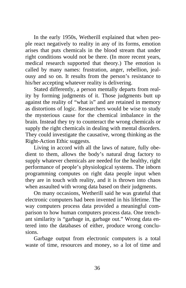In the early 1950s, Wetherill explained that when people react negatively to reality in any of its forms, emotion arises that puts chemicals in the blood stream that under right conditions would not be there. (In more recent years, medical research supported that theory.) The emotion is called by many names: frustration, anger, rebellion, jealousy and so on. It results from the person's resistance to his/her accepting whatever reality is delivering.

Stated differently, a person mentally departs from reality by forming judgments of it. Those judgments butt up against the reality of "what is" and are retained in memory as distortions of logic. Researchers would be wise to study the mysterious cause for the chemical imbalance in the brain. Instead they try to counteract the wrong chemicals or supply the right chemicals in dealing with mental disorders. They could investigate the causative, wrong thinking as the Right-Action Ethic suggests.

Living in accord with all the laws of nature, fully obedient to them, allows the body's natural drug factory to supply whatever chemicals are needed for the healthy, right performance of people's physiological systems. The inborn programming computes on right data people input when they are in touch with reality, and it is thrown into chaos when assaulted with wrong data based on their judgments.

On many occasions, Wetherill said he was grateful that electronic computers had been invented in his lifetime. The way computers process data provided a meaningful comparison to how human computers process data. One trenchant similarity is "garbage in, garbage out." Wrong data entered into the databases of either, produce wrong conclusions.

Garbage output from electronic computers is a total waste of time, resources and money, so a lot of time and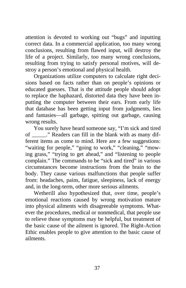attention is devoted to working out "bugs" and inputting correct data. In a commercial application, too many wrong conclusions, resulting from flawed input, will destroy the life of a project. Similarly, too many wrong conclusions, resulting from trying to satisfy personal motives, will destroy a person's emotional and physical health.

Organizations utilize computers to calculate right decisions based on facts rather than on people's opinions or educated guesses. That is the attitude people should adopt to replace the haphazard, distorted data they have been inputting the computer between their ears. From early life that database has been getting input from judgments, lies and fantasies—all garbage, spitting out garbage, causing wrong results.

You surely have heard someone say, "I'm sick and tired of \_\_\_\_\_." Readers can fill in the blank with as many different items as come to mind. Here are a few suggestions: "waiting for people," "going to work," "cleaning," "mowing grass," "trying to get ahead," and "listening to people complain." The commands to be "sick and tired" in various circumstances become instructions from the brain to the body. They cause various malfunctions that people suffer from: headaches, pains, fatigue, sleepiness, lack of energy and, in the long-term, other more serious ailments.

Wetherill also hypothesized that, over time, people's emotional reactions caused by wrong motivation mature into physical ailments with disagreeable symptoms. Whatever the procedures, medical or nonmedical, that people use to relieve those symptoms may be helpful, but treatment of the basic cause of the ailment is ignored. The Right-Action Ethic enables people to give attention to the basic cause of ailments.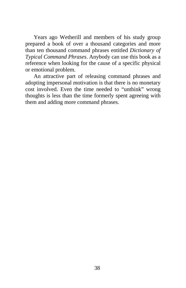Years ago Wetherill and members of his study group prepared a book of over a thousand categories and more than ten thousand command phrases entitled *Dictionary of Typical Command Phrases*. Anybody can use this book as a reference when looking for the cause of a specific physical or emotional problem.

An attractive part of releasing command phrases and adopting impersonal motivation is that there is no monetary cost involved. Even the time needed to "unthink" wrong thoughts is less than the time formerly spent agreeing with them and adding more command phrases.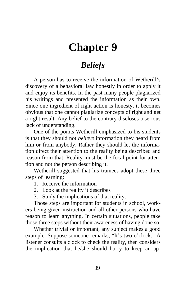### <span id="page-43-0"></span>**Chapter 9**

### *Beliefs*

A person has to receive the information of Wetherill's discovery of a behavioral law honestly in order to apply it and enjoy its benefits. In the past many people plagiarized his writings and presented the information as their own. Since one ingredient of right action is honesty, it becomes obvious that one cannot plagiarize concepts of right and get a right result. Any belief to the contrary discloses a serious lack of understanding.

One of the points Wetherill emphasized to his students is that they should not *believe* information they heard from him or from anybody. Rather they should let the information direct their attention to the reality being described and reason from that. Reality must be the focal point for attention and not the person describing it.

Wetherill suggested that his trainees adopt these three steps of learning:

- 1. Receive the information
- 2. Look at the reality it describes
- 3. Study the implications of that reality.

Those steps are important for students in school, workers being given instruction and all other persons who have reason to learn anything. In certain situations, people take those three steps without their awareness of having done so.

Whether trivial or important, any subject makes a good example. Suppose someone remarks, "It's two o'clock." A listener consults a clock to check the reality, then considers the implication that he/she should hurry to keep an ap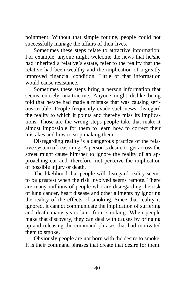pointment. Without that simple routine, people could not successfully manage the affairs of their lives.

Sometimes these steps relate to attractive information. For example, anyone might welcome the news that he/she had inherited a relative's estate, refer to the reality that the relative had been wealthy and the implication of a greatly improved financial condition. Little of that information would cause resistance.

Sometimes these steps bring a person information that seems entirely unattractive. Anyone might dislike being told that he/she had made a mistake that was causing serious trouble. People frequently evade such news, disregard the reality to which it points and thereby miss its implications. Those are the wrong steps people take that make it almost impossible for them to learn how to correct their mistakes and how to stop making them.

Disregarding reality is a dangerous practice of the relative system of reasoning. A person's desire to get across the street might cause him/her to ignore the reality of an approaching car and, therefore, not perceive the implication of possible injury or death.

The likelihood that people will disregard reality seems to be greatest when the risk involved seems remote. There are many millions of people who are disregarding the risk of lung cancer, heart disease and other ailments by ignoring the reality of the effects of smoking. Since that reality is ignored, it cannot communicate the implication of suffering and death many years later from smoking. When people make that discovery, they can deal with causes by bringing up and releasing the command phrases that had motivated them to smoke.

Obviously people are not born with the desire to smoke. It is their command phrases that create that desire for them.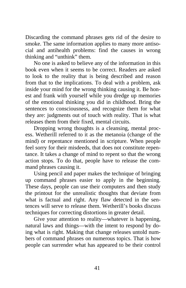Discarding the command phrases gets rid of the desire to smoke. The same information applies to many more antisocial and antihealth problems: find the causes in wrong thinking and "unthink" them.

No one is asked to believe any of the information in this book even when it seems to be correct. Readers are asked to look to the reality that is being described and reason from that to the implications. To deal with a problem, ask inside your mind for the wrong thinking causing it. Be honest and frank with yourself while you dredge up memories of the emotional thinking you did in childhood. Bring the sentences to consciousness, and recognize them for what they are: judgments out of touch with reality. That is what releases them from their fixed, mental circuits.

Dropping wrong thoughts is a cleansing, mental process. Wetherill referred to it as the metanoia (change of the mind) or repentance mentioned in scripture. When people feel sorry for their misdeeds, that does not constitute repentance. It takes a change of mind to repent so that the wrong action stops. To do that, people have to release the command phrases causing it.

Using pencil and paper makes the technique of bringing up command phrases easier to apply in the beginning. These days, people can use their computers and then study the printout for the unrealistic thoughts that deviate from what is factual and right. Any flaw detected in the sentences will serve to release them. Wetherill's books discuss techniques for correcting distortions in greater detail.

Give your attention to reality—whatever is happening, natural laws and things—with the intent to respond by doing what is right. Making that change releases untold numbers of command phrases on numerous topics. That is how people can surrender what has appeared to be their control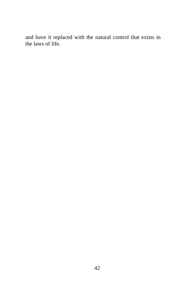and have it replaced with the natural control that exists in the laws of life.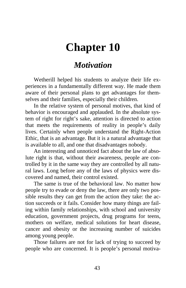### <span id="page-47-0"></span>**Chapter 10**

#### *Motivation*

Wetherill helped his students to analyze their life experiences in a fundamentally different way. He made them aware of their personal plans to get advantages for themselves and their families, especially their children.

In the relative system of personal motives, that kind of behavior is encouraged and applauded. In the absolute system of right for right's sake, attention is directed to action that meets the requirements of reality in people's daily lives. Certainly when people understand the Right-Action Ethic, that is an advantage. But it is a natural advantage that is available to all, and one that disadvantages nobody.

An interesting and unnoticed fact about the law of absolute right is that, without their awareness, people are controlled by it in the same way they are controlled by all natural laws. Long before any of the laws of physics were discovered and named, their control existed.

The same is true of the behavioral law. No matter how people try to evade or deny the law, there are only two possible results they can get from the action they take: the action succeeds or it fails. Consider how many things are failing within family relationships, with school and university education, government projects, drug programs for teens, mothers on welfare, medical solutions for heart disease, cancer and obesity or the increasing number of suicides among young people.

Those failures are not for lack of trying to succeed by people who are concerned. It is people's personal motiva-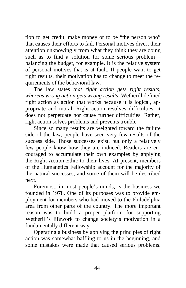tion to get credit, make money or to be "the person who" that causes their efforts to fail. Personal motives divert their attention unknowingly from what they think they are doing such as to find a solution for some serious problem balancing the budget, for example. It is the relative system of personal motives that is at fault. If people want to get right results, their motivation has to change to meet the requirements of the behavioral law.

The law states *that right action gets right results, whereas wrong action gets wrong results.* Wetherill defined right action as action that works because it is logical, appropriate and moral. Right action resolves difficulties; it does not perpetuate nor cause further difficulties. Rather, right action solves problems and prevents trouble.

Since so many results are weighted toward the failure side of the law, people have seen very few results of the success side. Those successes exist, but only a relatively few people know how they are induced. Readers are encouraged to accumulate their own examples by applying the Right-Action Ethic to their lives. At present, members of the Humanetics Fellowship account for the majority of the natural successes, and some of them will be described next.

Foremost, in most people's minds, is the business we founded in 1978. One of its purposes was to provide employment for members who had moved to the Philadelphia area from other parts of the country. The more important reason was to build a proper platform for supporting Wetherill's lifework to change society's motivation in a fundamentally different way.

Operating a business by applying the principles of right action was somewhat baffling to us in the beginning, and some mistakes were made that caused serious problems.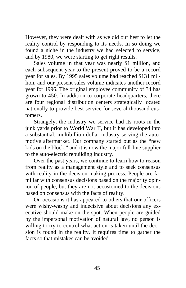However, they were dealt with as we did our best to let the reality control by responding to its needs. In so doing we found a niche in the industry we had selected to service, and by 1980, we were starting to get right results.

Sales volume in that year was nearly \$1 million, and each subsequent year to the present proved to be a record year for sales. By 1995 sales volume had reached \$131 million, and our present sales volume indicates another record year for 1996. The original employee community of 34 has grown to 450. In addition to corporate headquarters, there are four regional distribution centers strategically located nationally to provide best service for several thousand customers.

Strangely, the industry we service had its roots in the junk yards prior to World War II, but it has developed into a substantial, multibillion dollar industry serving the automotive aftermarket. Our company started out as the "new kids on the block," and it is now the major full-line supplier to the auto-electric rebuilding industry.

Over the past years, we continue to learn how to reason from reality as a management style and to seek consensus with reality in the decision-making process. People are familiar with consensus decisions based on the majority opinion of people, but they are not accustomed to the decisions based on consensus with the facts of reality.

On occasions it has appeared to others that our officers were wishy-washy and indecisive about decisions any executive should make on the spot. When people are guided by the impersonal motivation of natural law, no person is willing to try to control what action is taken until the decision is found in the reality. It requires time to gather the facts so that mistakes can be avoided.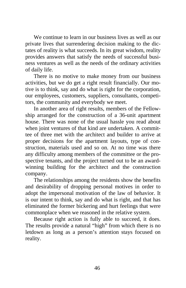We continue to learn in our business lives as well as our private lives that surrendering decision making to the dictates of reality is what succeeds. In its great wisdom, reality provides answers that satisfy the needs of successful business ventures as well as the needs of the ordinary activities of daily life.

There is no motive to make money from our business activities, but we do get a right result financially. Our motive is to think, say and do what is right for the corporation, our employees, customers, suppliers, consultants, competitors, the community and everybody we meet.

In another area of right results, members of the Fellowship arranged for the construction of a 36-unit apartment house. There was none of the usual hassle you read about when joint ventures of that kind are undertaken. A committee of three met with the architect and builder to arrive at proper decisions for the apartment layouts, type of construction, materials used and so on. At no time was there any difficulty among members of the committee or the prospective tenants, and the project turned out to be an awardwinning building for the architect and the construction company.

The relationships among the residents show the benefits and desirability of dropping personal motives in order to adopt the impersonal motivation of the law of behavior. It is our intent to think, say and do what is right, and that has eliminated the former bickering and hurt feelings that were commonplace when we reasoned in the relative system.

Because right action is fully able to succeed, it does. The results provide a natural "high" from which there is no letdown as long as a person's attention stays focused on reality.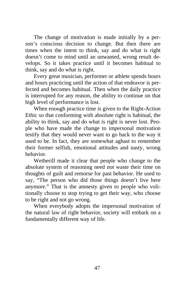The change of motivation is made initially by a person's conscious decision to change. But then there are times when the intent to think, say and do what is right doesn't come to mind until an unwanted, wrong result develops. So it takes practice until it becomes habitual to think, say and do what is right.

Every great musician, performer or athlete spends hours and hours practicing until the action of that endeavor is perfected and becomes habitual. Then when the daily practice is interrupted for any reason, the ability to continue on that high level of performance is lost.

When enough practice time is given to the Right-Action Ethic so that conforming with absolute right is habitual, the ability to think, say and do what is right is never lost. People who have made the change to impersonal motivation testify that they would never want to go back to the way it used to be. In fact, they are somewhat aghast to remember their former selfish, emotional attitudes and nasty, wrong behavior.

Wetherill made it clear that people who change to the absolute system of reasoning need not waste their time on thoughts of guilt and remorse for past behavior. He used to say, "The person who did those things doesn't live here anymore." That is the amnesty given to people who volitionally choose to stop trying to get their way, who choose to be right and not go wrong.

When everybody adopts the impersonal motivation of the natural law of right behavior, society will embark on a fundamentally different way of life.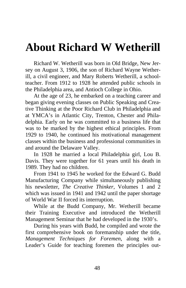### <span id="page-52-0"></span>**About Richard W Wetherill**

Richard W. Wetherill was born in Old Bridge, New Jersey on August 3, 1906, the son of Richard Wayne Wetherill, a civil engineer, and Mary Roberts Wetherill, a schoolteacher. From 1912 to 1928 he attended public schools in the Philadelphia area, and Antioch College in Ohio.

At the age of 23, he embarked on a teaching career and began giving evening classes on Public Speaking and Creative Thinking at the Poor Richard Club in Philadelphia and at YMCA's in Atlantic City, Trenton, Chester and Philadelphia. Early on he was committed to a business life that was to be marked by the highest ethical principles. From 1929 to 1940, he continued his motivational management classes within the business and professional communities in and around the Delaware Valley.

In 1928 he married a local Philadelphia girl, Lou B. Davis. They were together for 61 years until his death in 1989. They had no children.

From 1941 to 1945 he worked for the Edward G. Budd Manufacturing Company while simultaneously publishing his newsletter, *The Creative Thinker*, Volumes 1 and 2 which was issued in 1941 and 1942 until the paper shortage of World War II forced its interruption.

While at the Budd Company, Mr. Wetherill became their Training Executive and introduced the Wetherill Management Seminar that he had developed in the 1930's.

During his years with Budd, he compiled and wrote the first comprehensive book on foremanship under the title, *Management Techniques for Foremen*, along with a Leader's Guide for teaching foremen the principles out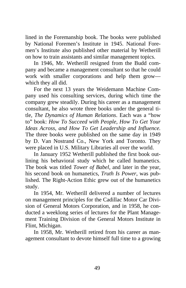lined in the Foremanship book. The books were published by National Foremen's Institute in 1945. National Foremen's Institute also published other material by Wetherill on how to train assistants and similar management topics.

In 1946, Mr. Wetherill resigned from the Budd company and became a management consultant so that he could work with smaller corporations and help them grow which they all did.

For the next 13 years the Weidemann Machine Company used his consulting services, during which time the company grew steadily. During his career as a management consultant, he also wrote three books under the general title, *The Dynamics of Human Relations*. Each was a "how to" book: *How To Succeed with People, How To Get Your Ideas Across, and How To Get Leadership and Influence.* The three books were published on the same day in 1949 by D. Van Nostrand Co., New York and Toronto. They were placed in U.S. Military Libraries all over the world.

In January 1952 Wetherill published the first book outlining his behavioral study which he called humanetics. The book was titled *Tower of Babel*, and later in the year, his second book on humanetics, *Truth Is Power*, was published. The Right-Action Ethic grew out of the humanetics study.

In 1954, Mr. Wetherill delivered a number of lectures on management principles for the Cadillac Motor Car Division of General Motors Corporation, and in 1958, he conducted a weeklong series of lectures for the Plant Management Training Division of the General Motors Institute in Flint, Michigan.

In 1958, Mr. Wetherill retired from his career as management consultant to devote himself full time to a growing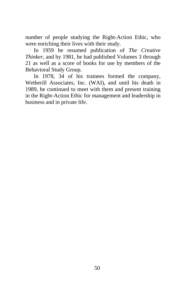number of people studying the Right-Action Ethic, who were enriching their lives with their study.

In 1959 he resumed publication of *The Creative Thinker*, and by 1981, he had published Volumes 3 through 21 as well as a score of books for use by members of the Behavioral Study Group.

In 1978, 34 of his trainees formed the company, Wetherill Associates, Inc. (WAI), and until his death in 1989, he continued to meet with them and present training in the Right-Action Ethic for management and leadership in business and in private life.